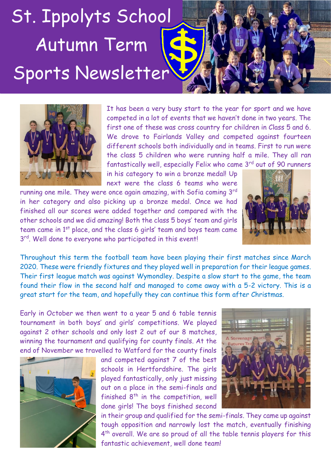## St. Ippolyts School Autumn Term Sports Newsletter



It has been a very busy start to the year for sport and we have competed in a lot of events that we haven't done in two years. The first one of these was cross country for children in Class 5 and 6. We drove to Fairlands Valley and competed against fourteen different schools both individually and in teams. First to run were the class 5 children who were running half a mile. They all ran fantastically well, especially Felix who came 3<sup>rd</sup> out of 90 runners

in his category to win a bronze medal! Up next were the class 6 teams who were

running one mile. They were once again amazing, with Sofia coming 3<sup>rd</sup> in her category and also picking up a bronze medal. Once we had finished all our scores were added together and compared with the other schools and we did amazing! Both the class 5 boys' team and girls team came in 1st place, and the class 6 girls' team and boys team came 3<sup>rd</sup>. Well done to everyone who participated in this event!



Throughout this term the football team have been playing their first matches since March 2020. These were friendly fixtures and they played well in preparation for their league games. Their first league match was against Wymondley. Despite a slow start to the game, the team found their flow in the second half and managed to come away with a 5-2 victory. This is a great start for the team, and hopefully they can continue this form after Christmas.

Early in October we then went to a year 5 and 6 table tennis tournament in both boys' and girls' competitions. We played against 2 other schools and only lost 2 out of our 8 matches, winning the tournament and qualifying for county finals. At the end of November we travelled to Watford for the county finals



and competed against 7 of the best schools in Hertfordshire. The girls played fantastically, only just missing out on a place in the semi-finals and finished  $8<sup>th</sup>$  in the competition, well done girls! The boys finished second



in their group and qualified for the semi-finals. They came up against tough opposition and narrowly lost the match, eventually finishing 4<sup>th</sup> overall. We are so proud of all the table tennis players for this fantastic achievement, well done team!